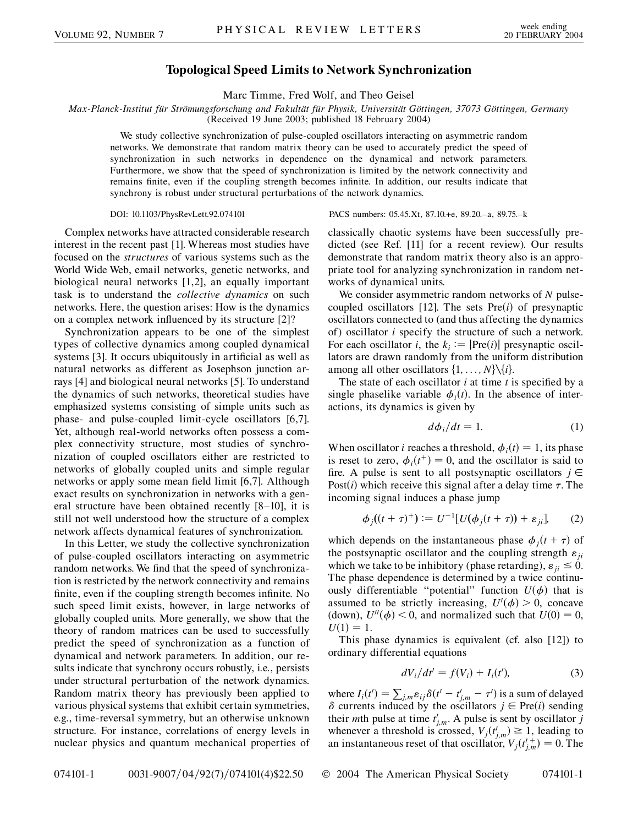## **Topological Speed Limits to Network Synchronization**

Marc Timme, Fred Wolf, and Theo Geisel

*Max-Planck-Institut fu¨r Stro¨mungsforschung and Fakulta¨t fu¨r Physik, Universita¨t Go¨ttingen, 37073 Go¨ttingen, Germany* (Received 19 June 2003; published 18 February 2004)

We study collective synchronization of pulse-coupled oscillators interacting on asymmetric random networks. We demonstrate that random matrix theory can be used to accurately predict the speed of synchronization in such networks in dependence on the dynamical and network parameters. Furthermore, we show that the speed of synchronization is limited by the network connectivity and remains finite, even if the coupling strength becomes infinite. In addition, our results indicate that synchrony is robust under structural perturbations of the network dynamics.

DOI: 10.1103/PhysRevLett.92.074101 PACS numbers: 05.45.Xt, 87.10.+e, 89.20.–a, 89.75.–k

Complex networks have attracted considerable research interest in the recent past [1]. Whereas most studies have focused on the *structures* of various systems such as the World Wide Web, email networks, genetic networks, and biological neural networks [1,2], an equally important task is to understand the *collective dynamics* on such networks. Here, the question arises: How is the dynamics on a complex network influenced by its structure [2]?

Synchronization appears to be one of the simplest types of collective dynamics among coupled dynamical systems [3]. It occurs ubiquitously in artificial as well as natural networks as different as Josephson junction arrays [4] and biological neural networks [5]. To understand the dynamics of such networks, theoretical studies have emphasized systems consisting of simple units such as phase- and pulse-coupled limit-cycle oscillators [6,7]. Yet, although real-world networks often possess a complex connectivity structure, most studies of synchronization of coupled oscillators either are restricted to networks of globally coupled units and simple regular networks or apply some mean field limit [6,7]. Although exact results on synchronization in networks with a general structure have been obtained recently [8–10], it is still not well understood how the structure of a complex network affects dynamical features of synchronization.

In this Letter, we study the collective synchronization of pulse-coupled oscillators interacting on asymmetric random networks. We find that the speed of synchronization is restricted by the network connectivity and remains finite, even if the coupling strength becomes infinite. No such speed limit exists, however, in large networks of globally coupled units. More generally, we show that the theory of random matrices can be used to successfully predict the speed of synchronization as a function of dynamical and network parameters. In addition, our results indicate that synchrony occurs robustly, i.e., persists under structural perturbation of the network dynamics. Random matrix theory has previously been applied to various physical systems that exhibit certain symmetries, e.g., time-reversal symmetry, but an otherwise unknown structure. For instance, correlations of energy levels in nuclear physics and quantum mechanical properties of classically chaotic systems have been successfully predicted (see Ref. [11] for a recent review). Our results demonstrate that random matrix theory also is an appropriate tool for analyzing synchronization in random networks of dynamical units.

We consider asymmetric random networks of *N* pulsecoupled oscillators  $[12]$ . The sets  $Pre(i)$  of presynaptic oscillators connected to (and thus affecting the dynamics of) oscillator *i* specify the structure of such a network. For each oscillator *i*, the  $k_i := |\text{Pre}(i)|$  presynaptic oscillators are drawn randomly from the uniform distribution among all other oscillators  $\{1, \ldots, N\} \setminus \{i\}.$ 

The state of each oscillator *i* at time *t* is specified by a single phaselike variable  $\phi_i(t)$ . In the absence of interactions, its dynamics is given by

$$
d\phi_i/dt = 1. \tag{1}
$$

When oscillator *i* reaches a threshold,  $\phi_i(t) = 1$ , its phase is reset to zero,  $\phi_i(t^+) = 0$ , and the oscillator is said to fire. A pulse is sent to all postsynaptic oscillators  $j \in$ Post $(i)$  which receive this signal after a delay time  $\tau$ . The incoming signal induces a phase jump

$$
\phi_j((t+\tau)^+) := U^{-1}[U(\phi_j(t+\tau)) + \varepsilon_{ji}].
$$
 (2)

which depends on the instantaneous phase  $\phi_j(t + \tau)$  of the postsynaptic oscillator and the coupling strength  $\varepsilon_{ii}$ which we take to be inhibitory (phase retarding),  $\varepsilon_{ii} \leq 0$ . The phase dependence is determined by a twice continuously differentiable "potential" function  $U(\phi)$  that is assumed to be strictly increasing,  $U'(\phi) > 0$ , concave (down),  $U''(\phi) < 0$ , and normalized such that  $U(0) = 0$ ,  $U(1) = 1.$ 

This phase dynamics is equivalent (cf. also [12]) to ordinary differential equations

$$
dV_i/dt' = f(V_i) + I_i(t'),
$$
 (3)

where  $I_i(t') = \sum_{j,m} \varepsilon_{ij} \delta(t'-t'_{j,m} - \tau')$  is a sum of delayed  $\delta$  currents induced by the oscillators  $j \in Pre(i)$  sending their *m*th pulse at time  $t'_{j,m}$ . A pulse is sent by oscillator *j* whenever a threshold is crossed,  $V_j(t'_{j,m}) \geq 1$ , leading to an instantaneous reset of that oscillator,  $V_j(t'_{j,m}) = 0$ . The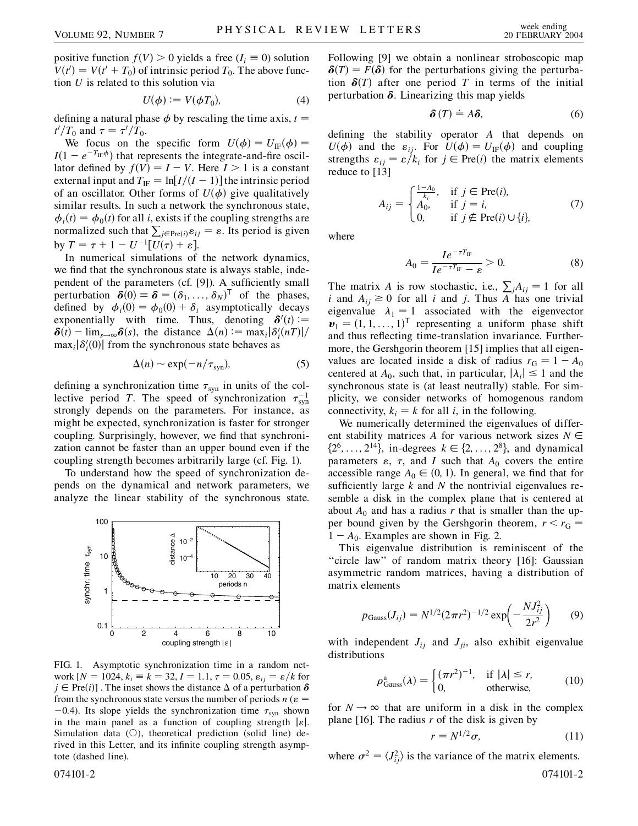positive function  $f(V) > 0$  yields a free  $(I_i \equiv 0)$  solution  $V(t') = V(t' + T_0)$  of intrinsic period  $T_0$ . The above function *U* is related to this solution via

$$
U(\phi) := V(\phi T_0),\tag{4}
$$

defining a natural phase  $\phi$  by rescaling the time axis,  $t =$  $t'/T_0$  and  $\tau = \tau'/T_0$ .

We focus on the specific form  $U(\phi) = U_{\text{IF}}(\phi) =$  $I(1 - e^{-T_{\text{IF}}\phi})$  that represents the integrate-and-fire oscillator defined by  $f(V) = I - V$ . Here  $I > 1$  is a constant external input and  $T_{\text{IF}} = \ln[I/(I-1)]$  the intrinsic period of an oscillator. Other forms of  $U(\phi)$  give qualitatively similar results. In such a network the synchronous state,  $\phi_i(t) = \phi_0(t)$  for all *i*, exists if the coupling strengths are p<sub>1</sub>(*i*)  $\varphi_{0}(i)$  for an *i*, exists if the coapling strengths are<br>normalized such that  $\sum_{j \in \text{Pre}(i)} \varepsilon_{ij} = \varepsilon$ . Its period is given by  $T = \tau + 1 - U^{-1}[U(\tau) + \varepsilon].$ 

In numerical simulations of the network dynamics, we find that the synchronous state is always stable, independent of the parameters (cf. [9]). A sufficiently small perturbation  $\delta(0) = \delta = (\delta_1, ..., \delta_N)^T$  of the phases, defined by  $\phi_i(0) = \phi_0(0) + \delta_i$  asymptotically decays exponentially with time. Thus, denoting  $\delta'(t)$  :=  $\delta(t) - \lim_{s \to \infty} \delta(s)$ , the distance  $\Delta(n) := \max_i |\delta_i'(n)|/2$  $\max_i |\delta_i'(0)|$  from the synchronous state behaves as

$$
\Delta(n) \sim \exp(-n/\tau_{syn}),\tag{5}
$$

defining a synchronization time  $\tau_{syn}$  in units of the collective period *T*. The speed of synchronization  $\tau_{syn}^{-1}$ strongly depends on the parameters. For instance, as might be expected, synchronization is faster for stronger coupling. Surprisingly, however, we find that synchronization cannot be faster than an upper bound even if the coupling strength becomes arbitrarily large (cf. Fig. 1).

To understand how the speed of synchronization depends on the dynamical and network parameters, we analyze the linear stability of the synchronous state.



FIG. 1. Asymptotic synchronization time in a random network  $[N = 1024, k_i \equiv k = 32, I = 1.1, \tau = 0.05, \varepsilon_{ii} = \varepsilon/k$  for  $j \in Pre(i)$ ]. The inset shows the distance  $\Delta$  of a perturbation  $\delta$ from the synchronous state versus the number of periods  $n ( \varepsilon =$  $-0.4$ ). Its slope yields the synchronization time  $\tau_{syn}$  shown in the main panel as a function of coupling strength  $|\varepsilon|$ . Simulation data  $(O)$ , theoretical prediction (solid line) derived in this Letter, and its infinite coupling strength asymptote (dashed line).

Following [9] we obtain a nonlinear stroboscopic map  $\delta(T) = F(\delta)$  for the perturbations giving the perturbation  $\delta(T)$  after one period *T* in terms of the initial perturbation  $\delta$ . Linearizing this map yields

$$
\delta(T) \doteq A\delta, \tag{6}
$$

defining the stability operator *A* that depends on  $U(\phi)$  and the  $\varepsilon_{ij}$ . For  $U(\phi) = U_{IF}(\phi)$  and coupling strengths  $\varepsilon_{ij} = \varepsilon / k_i$  for  $j \in Pre(i)$  the matrix elements reduce to [13]

$$
A_{ij} = \begin{cases} \frac{1 - A_0}{k_i}, & \text{if } j \in \text{Pre}(i),\\ A_0, & \text{if } j = i,\\ 0, & \text{if } j \notin \text{Pre}(i) \cup \{i\}, \end{cases}
$$
(7)

where

$$
A_0 = \frac{I e^{-\tau T_{\text{IF}}}}{I e^{-\tau T_{\text{IF}}} - \varepsilon} > 0.
$$
 (8)

The matrix *A* is row stochastic, i.e.,  $\sum_{j} A_{ij} = 1$  for all *i* and  $A_{ii} \ge 0$  for all *i* and *j*. Thus *A* has one trivial eigenvalue  $\lambda_1 = 1$  associated with the eigenvector  $v_1 = (1, 1, \ldots, 1)^\mathsf{T}$  representing a uniform phase shift and thus reflecting time-translation invariance. Furthermore, the Gershgorin theorem [15] implies that all eigenvalues are located inside a disk of radius  $r_G = 1 - A_0$ centered at  $A_0$ , such that, in particular,  $|\lambda_i| \leq 1$  and the synchronous state is (at least neutrally) stable. For simplicity, we consider networks of homogenous random connectivity,  $k_i = k$  for all *i*, in the following.

We numerically determined the eigenvalues of different stability matrices *A* for various network sizes  $N \in$  $\{2^6, \ldots, 2^{14}\}\$ , in-degrees  $k \in \{2, \ldots, 2^8\}\$ , and dynamical parameters  $\varepsilon$ ,  $\tau$ , and *I* such that  $A_0$  covers the entire accessible range  $A_0 \in (0, 1)$ . In general, we find that for sufficiently large *k* and *N* the nontrivial eigenvalues resemble a disk in the complex plane that is centered at about  $A_0$  and has a radius *r* that is smaller than the upper bound given by the Gershgorin theorem,  $r < r<sub>G</sub>$  $1 - A_0$ . Examples are shown in Fig. 2.

This eigenvalue distribution is reminiscent of the "circle law" of random matrix theory [16]: Gaussian asymmetric random matrices, having a distribution of matrix elements

$$
p_{\text{Gauss}}(J_{ij}) = N^{1/2} (2\pi r^2)^{-1/2} \exp\left(-\frac{N J_{ij}^2}{2r^2}\right) \tag{9}
$$

with independent  $J_{ij}$  and  $J_{ji}$ , also exhibit eigenvalue distributions

$$
\rho_{\text{Gauss}}^{\text{a}}(\lambda) = \begin{cases} (\pi r^2)^{-1}, & \text{if } |\lambda| \le r, \\ 0, & \text{otherwise,} \end{cases}
$$
 (10)

for  $N \rightarrow \infty$  that are uniform in a disk in the complex plane [16]. The radius *r* of the disk is given by

$$
r = N^{1/2}\sigma,\tag{11}
$$

where  $\sigma^2 = \langle J_{ij}^2 \rangle$  is the variance of the matrix elements. 074101-2 074101-2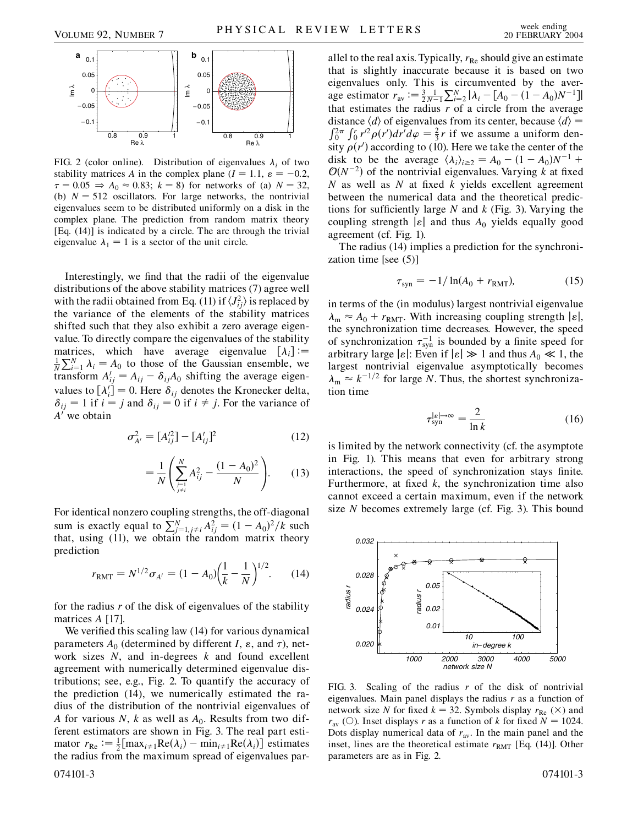

FIG. 2 (color online). Distribution of eigenvalues  $\lambda_i$  of two stability matrices *A* in the complex plane  $(I = 1.1, \varepsilon = -0.2,$  $\tau = 0.05 \Rightarrow A_0 \approx 0.83$ ;  $k = 8$ ) for networks of (a)  $N = 32$ , (b)  $N = 512$  oscillators. For large networks, the nontrivial eigenvalues seem to be distributed uniformly on a disk in the complex plane. The prediction from random matrix theory [Eq. (14)] is indicated by a circle. The arc through the trivial eigenvalue  $\lambda_1 = 1$  is a sector of the unit circle.

Interestingly, we find that the radii of the eigenvalue distributions of the above stability matrices (7) agree well with the radii obtained from Eq. (11) if  $\langle J_{ij}^2 \rangle$  is replaced by the variance of the elements of the stability matrices shifted such that they also exhibit a zero average eigenvalue. To directly compare the eigenvalues of the stability matrices, which have average eigenvalue  $[\lambda_i] :=$  $\frac{1}{N} \sum_{i=1}^{N} \lambda_i = A_0$  to those of the Gaussian ensemble, we transform  $A'_{ij} = A_{ij} - \delta_{ij}A_0$  shifting the average eigenvalues to  $[\lambda'_i] = 0$ . Here  $\delta_{ij}$  denotes the Kronecker delta,  $\delta_{ij}$  = 1 if *i* = *j* and  $\delta_{ij}$  = 0 if *i*  $\neq$  *j*. For the variance of  $A<sup>′</sup>$  we obtain

$$
\sigma_{A'}^2 = [A_{ij}^{\prime 2}] - [A_{ij}^{\prime}]^2 \tag{12}
$$

$$
=\frac{1}{N}\left(\sum_{\substack{j=1\\j\neq i}}^{N}A_{ij}^2-\frac{(1-A_0)^2}{N}\right).
$$
 (13)

For identical nonzero coupling strengths, the off-diagonal sum is exactly equal to  $\sum_{j=1, j\neq i}^{N} A_{ij}^{2} = (1 - A_{0})^{2}/k$  such that, using (11), we obtain the random matrix theory prediction

$$
r_{\text{RMT}} = N^{1/2} \sigma_{A'} = (1 - A_0) \left(\frac{1}{k} - \frac{1}{N}\right)^{1/2}.
$$
 (14)

for the radius *r* of the disk of eigenvalues of the stability matrices *A* [17].

We verified this scaling law (14) for various dynamical parameters  $A_0$  (determined by different *I*,  $\varepsilon$ , and  $\tau$ ), network sizes *N*, and in-degrees *k* and found excellent agreement with numerically determined eigenvalue distributions; see, e.g., Fig. 2. To quantify the accuracy of the prediction (14), we numerically estimated the radius of the distribution of the nontrivial eigenvalues of *A* for various *N*, *k* as well as  $A_0$ . Results from two different estimators are shown in Fig. 3. The real part estimator  $r_{\text{Re}} := \frac{1}{2} [\max_{i \neq 1} \text{Re}(\lambda_i) - \min_{i \neq 1} \text{Re}(\lambda_i)]$  estimates the radius from the maximum spread of eigenvalues par-074101-3 074101-3

allel to the real axis. Typically,  $r_{\text{Re}}$  should give an estimate that is slightly inaccurate because it is based on two eigenvalues only. This is circumvented by the average estimator  $r_{av} := \frac{3}{2} \frac{1}{N-1} \sum_{i=2}^{N} |\lambda_i - [A_0 - (1 - A_0)N^{-1}]|$ that estimates the radius  $r$  of a circle from the average distance  $\langle d \rangle$  of eigenvalues from its center, because  $\langle d \rangle$  = dramate  $\langle u \rangle$  or eigenvalues from its center, oceanse  $\langle u \rangle =$ <br> $\int_0^{2\pi} \int_0^r r'^2 \rho(r') dr' d\varphi = \frac{2}{3}r$  if we assume a uniform density  $\rho(r')$  according to (10). Here we take the center of the disk to be the average  $\langle \lambda_i \rangle_{i \geq 2} = A_0 - (1 - A_0)N^{-1}$  +  $O(N^{-2})$  of the nontrivial eigenvalues. Varying *k* at fixed *N* as well as *N* at fixed *k* yields excellent agreement between the numerical data and the theoretical predictions for sufficiently large *N* and *k* (Fig. 3). Varying the coupling strength  $|\varepsilon|$  and thus  $A_0$  yields equally good agreement (cf. Fig. 1).

The radius (14) implies a prediction for the synchronization time [see (5)]

$$
\tau_{syn} = -1/\ln(A_0 + r_{RMT}),\tag{15}
$$

in terms of the (in modulus) largest nontrivial eigenvalue  $\lambda_{\rm m} \approx A_0 + r_{\rm RMT}$ . With increasing coupling strength  $|\varepsilon|$ , the synchronization time decreases. However, the speed of synchronization  $\tau_{syn}^{-1}$  is bounded by a finite speed for arbitrary large  $|\varepsilon|$ : Even if  $|\varepsilon| \gg 1$  and thus  $A_0 \ll 1$ , the largest nontrivial eigenvalue asymptotically becomes  $\lambda_{\rm m} \approx k^{-1/2}$  for large *N*. Thus, the shortest synchronization time

$$
\tau_{\rm syn}^{|{\varepsilon}| \to \infty} = \frac{2}{\ln k} \tag{16}
$$

is limited by the network connectivity (cf. the asymptote in Fig. 1). This means that even for arbitrary strong interactions, the speed of synchronization stays finite. Furthermore, at fixed  $k$ , the synchronization time also cannot exceed a certain maximum, even if the network size *N* becomes extremely large (cf. Fig. 3). This bound



FIG. 3. Scaling of the radius *r* of the disk of nontrivial eigenvalues. Main panel displays the radius *r* as a function of network size *N* for fixed  $k = 32$ . Symbols display  $r_{\text{Re}}(\times)$  and  $r_{\text{av}}$  (O). Inset displays *r* as a function of *k* for fixed  $N = 1024$ . Dots display numerical data of  $r_{av}$ . In the main panel and the inset, lines are the theoretical estimate  $r_{RMT}$  [Eq. (14)]. Other parameters are as in Fig. 2.